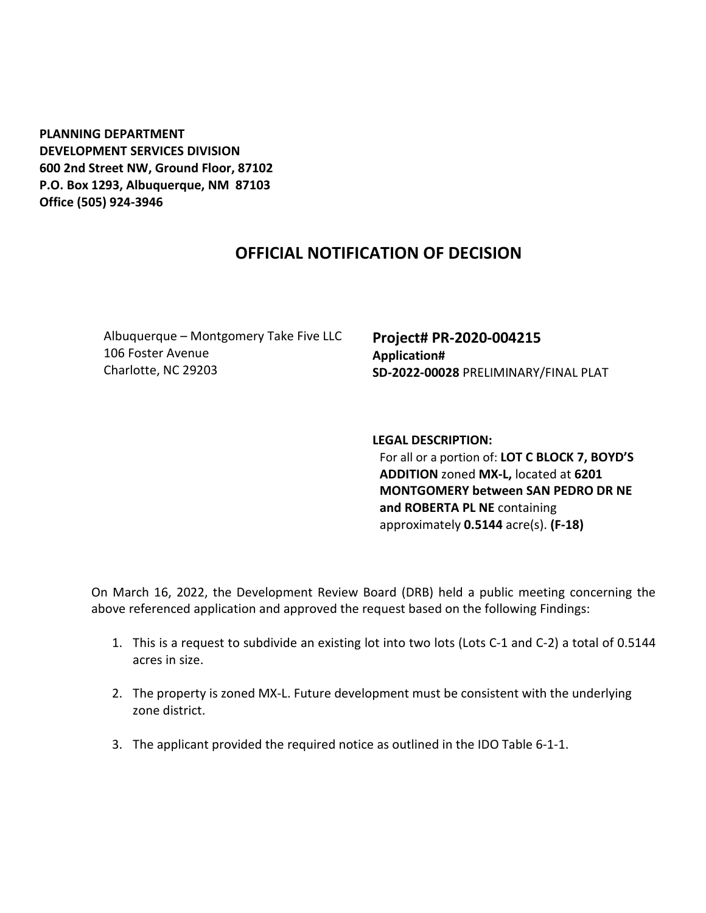**PLANNING DEPARTMENT DEVELOPMENT SERVICES DIVISION 600 2nd Street NW, Ground Floor, 87102 P.O. Box 1293, Albuquerque, NM 87103 Office (505) 924-3946** 

## **OFFICIAL NOTIFICATION OF DECISION**

Albuquerque – Montgomery Take Five LLC 106 Foster Avenue Charlotte, NC 29203

**Project# PR-2020-004215 Application# SD-2022-00028** PRELIMINARY/FINAL PLAT

**LEGAL DESCRIPTION:**

For all or a portion of: **LOT C BLOCK 7, BOYD'S ADDITION** zoned **MX-L,** located at **6201 MONTGOMERY between SAN PEDRO DR NE and ROBERTA PL NE** containing approximately **0.5144** acre(s). **(F-18)**

On March 16, 2022, the Development Review Board (DRB) held a public meeting concerning the above referenced application and approved the request based on the following Findings:

- 1. This is a request to subdivide an existing lot into two lots (Lots C-1 and C-2) a total of 0.5144 acres in size.
- 2. The property is zoned MX-L. Future development must be consistent with the underlying zone district.
- 3. The applicant provided the required notice as outlined in the IDO Table 6-1-1.